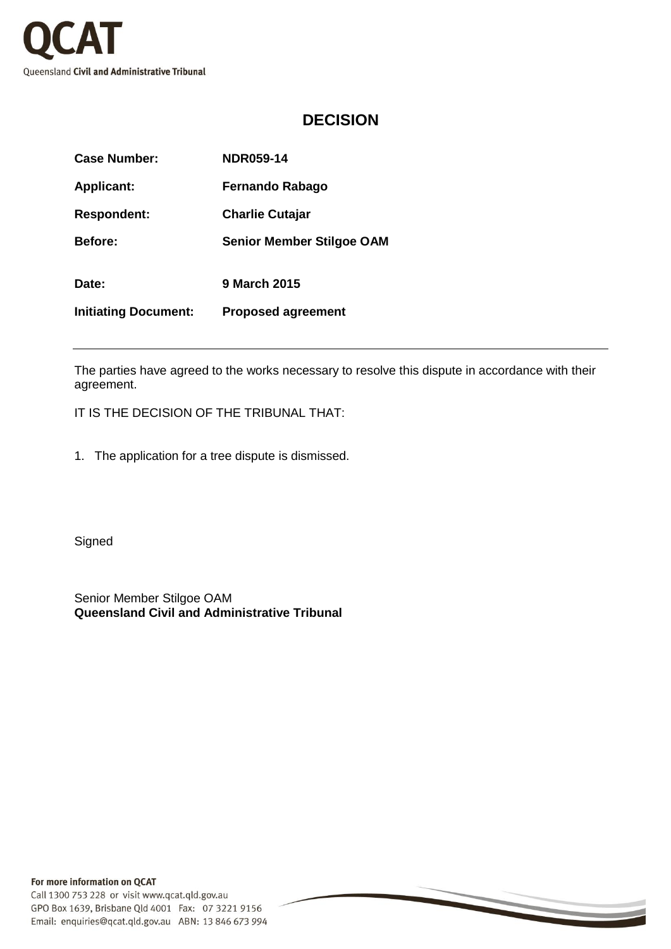

## **DECISION**

| <b>Case Number:</b>         | <b>NDR059-14</b>                 |
|-----------------------------|----------------------------------|
| <b>Applicant:</b>           | <b>Fernando Rabago</b>           |
| <b>Respondent:</b>          | <b>Charlie Cutajar</b>           |
| <b>Before:</b>              | <b>Senior Member Stilgoe OAM</b> |
| Date:                       | 9 March 2015                     |
| <b>Initiating Document:</b> | <b>Proposed agreement</b>        |

The parties have agreed to the works necessary to resolve this dispute in accordance with their agreement.

IT IS THE DECISION OF THE TRIBUNAL THAT:

1. The application for a tree dispute is dismissed.

**Signed** 

Senior Member Stilgoe OAM **Queensland Civil and Administrative Tribunal**